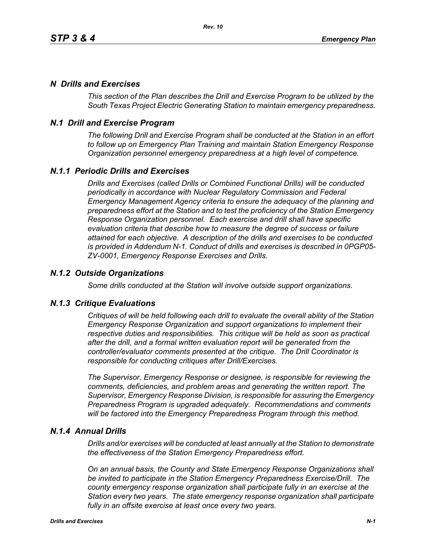# *N Drills and Exercises*

*This section of the Plan describes the Drill and Exercise Program to be utilized by the South Texas Project Electric Generating Station to maintain emergency preparedness.*

# *N.1 Drill and Exercise Program*

*The following Drill and Exercise Program shall be conducted at the Station in an effort to follow up on Emergency Plan Training and maintain Station Emergency Response Organization personnel emergency preparedness at a high level of competence.*

# *N.1.1 Periodic Drills and Exercises*

*Drills and Exercises (called Drills or Combined Functional Drills) will be conducted periodically in accordance with Nuclear Regulatory Commission and Federal Emergency Management Agency criteria to ensure the adequacy of the planning and preparedness effort at the Station and to test the proficiency of the Station Emergency Response Organization personnel. Each exercise and drill shall have specific evaluation criteria that describe how to measure the degree of success or failure attained for each objective. A description of the drills and exercises to be conducted is provided in Addendum N-1. Conduct of drills and exercises is described in 0PGP05- ZV-0001, Emergency Response Exercises and Drills.*

## *N.1.2 Outside Organizations*

*Some drills conducted at the Station will involve outside support organizations.* 

### *N.1.3 Critique Evaluations*

*Critiques of will be held following each drill to evaluate the overall ability of the Station Emergency Response Organization and support organizations to implement their respective duties and responsibilities. This critique will be held as soon as practical after the drill, and a formal written evaluation report will be generated from the controller/evaluator comments presented at the critique. The Drill Coordinator is responsible for conducting critiques after Drill/Exercises.* 

*The Supervisor, Emergency Response or designee, is responsible for reviewing the comments, deficiencies, and problem areas and generating the written report. The Supervisor, Emergency Response Division, is responsible for assuring the Emergency Preparedness Program is upgraded adequately. Recommendations and comments will be factored into the Emergency Preparedness Program through this method.* 

### *N.1.4 Annual Drills*

*Drills and/or exercises will be conducted at least annually at the Station to demonstrate the effectiveness of the Station Emergency Preparedness effort.* 

*On an annual basis, the County and State Emergency Response Organizations shall be invited to participate in the Station Emergency Preparedness Exercise/Drill. The county emergency response organization shall participate fully in an exercise at the Station every two years. The state emergency response organization shall participate fully in an offsite exercise at least once every two years.*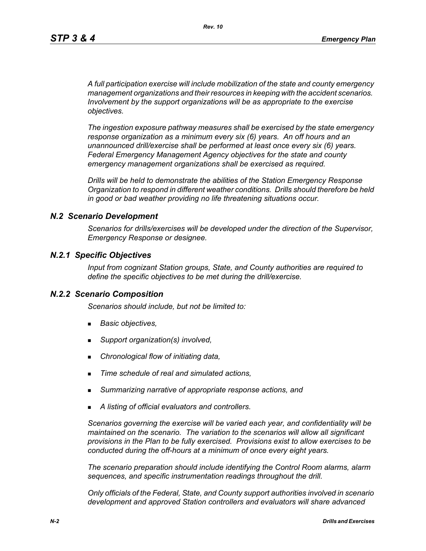*A full participation exercise will include mobilization of the state and county emergency management organizations and their resources in keeping with the accident scenarios. Involvement by the support organizations will be as appropriate to the exercise objectives.* 

*The ingestion exposure pathway measures shall be exercised by the state emergency response organization as a minimum every six (6) years. An off hours and an unannounced drill/exercise shall be performed at least once every six (6) years. Federal Emergency Management Agency objectives for the state and county emergency management organizations shall be exercised as required.*

*Drills will be held to demonstrate the abilities of the Station Emergency Response Organization to respond in different weather conditions. Drills should therefore be held in good or bad weather providing no life threatening situations occur.*

#### *N.2 Scenario Development*

*Scenarios for drills/exercises will be developed under the direction of the Supervisor, Emergency Response or designee.* 

#### *N.2.1 Specific Objectives*

*Input from cognizant Station groups, State, and County authorities are required to define the specific objectives to be met during the drill/exercise.*

#### *N.2.2 Scenario Composition*

*Scenarios should include, but not be limited to:*

- *Basic objectives,*
- *Support organization(s) involved,*
- *Chronological flow of initiating data,*
- *Time schedule of real and simulated actions,*
- *Summarizing narrative of appropriate response actions, and*
- *A listing of official evaluators and controllers.*

*Scenarios governing the exercise will be varied each year, and confidentiality will be maintained on the scenario. The variation to the scenarios will allow all significant provisions in the Plan to be fully exercised. Provisions exist to allow exercises to be conducted during the off-hours at a minimum of once every eight years.*

*The scenario preparation should include identifying the Control Room alarms, alarm sequences, and specific instrumentation readings throughout the drill.*

*Only officials of the Federal, State, and County support authorities involved in scenario development and approved Station controllers and evaluators will share advanced*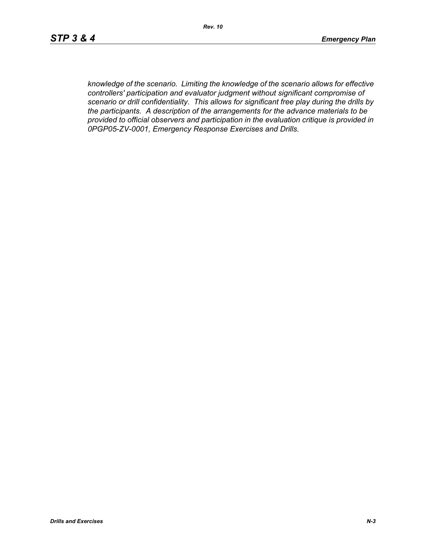*knowledge of the scenario. Limiting the knowledge of the scenario allows for effective controllers' participation and evaluator judgment without significant compromise of scenario or drill confidentiality. This allows for significant free play during the drills by the participants. A description of the arrangements for the advance materials to be provided to official observers and participation in the evaluation critique is provided in 0PGP05-ZV-0001, Emergency Response Exercises and Drills.*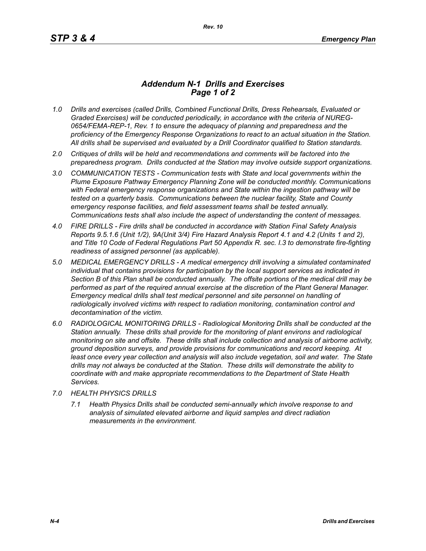## *Addendum N-1 Drills and Exercises Page 1 of 2*

- *1.0 Drills and exercises (called Drills, Combined Functional Drills, Dress Rehearsals, Evaluated or Graded Exercises) will be conducted periodically, in accordance with the criteria of NUREG-0654/FEMA-REP-1, Rev. 1 to ensure the adequacy of planning and preparedness and the proficiency of the Emergency Response Organizations to react to an actual situation in the Station. All drills shall be supervised and evaluated by a Drill Coordinator qualified to Station standards.*
- *2.0 Critiques of drills will be held and recommendations and comments will be factored into the preparedness program. Drills conducted at the Station may involve outside support organizations.*
- *3.0 COMMUNICATION TESTS Communication tests with State and local governments within the Plume Exposure Pathway Emergency Planning Zone will be conducted monthly. Communications with Federal emergency response organizations and State within the ingestion pathway will be tested on a quarterly basis. Communications between the nuclear facility, State and County emergency response facilities, and field assessment teams shall be tested annually. Communications tests shall also include the aspect of understanding the content of messages.*
- *4.0 FIRE DRILLS Fire drills shall be conducted in accordance with Station Final Safety Analysis Reports 9.5.1.6 (Unit 1/2), 9A(Unit 3/4) Fire Hazard Analysis Report 4.1 and 4.2 (Units 1 and 2), and Title 10 Code of Federal Regulations Part 50 Appendix R. sec. I.3 to demonstrate fire-fighting readiness of assigned personnel (as applicable).*
- *5.0 MEDICAL EMERGENCY DRILLS A medical emergency drill involving a simulated contaminated individual that contains provisions for participation by the local support services as indicated in Section B of this Plan shall be conducted annually. The offsite portions of the medical drill may be performed as part of the required annual exercise at the discretion of the Plant General Manager. Emergency medical drills shall test medical personnel and site personnel on handling of*  radiologically involved victims with respect to radiation monitoring, contamination control and *decontamination of the victim.*
- *6.0 RADIOLOGICAL MONITORING DRILLS Radiological Monitoring Drills shall be conducted at the Station annually. These drills shall provide for the monitoring of plant environs and radiological monitoring on site and offsite. These drills shall include collection and analysis of airborne activity, ground deposition surveys, and provide provisions for communications and record keeping. At*  least once every year collection and analysis will also include vegetation, soil and water. The State *drills may not always be conducted at the Station. These drills will demonstrate the ability to coordinate with and make appropriate recommendations to the Department of State Health Services.*
- *7.0 HEALTH PHYSICS DRILLS*
	- *7.1 Health Physics Drills shall be conducted semi-annually which involve response to and analysis of simulated elevated airborne and liquid samples and direct radiation measurements in the environment.*